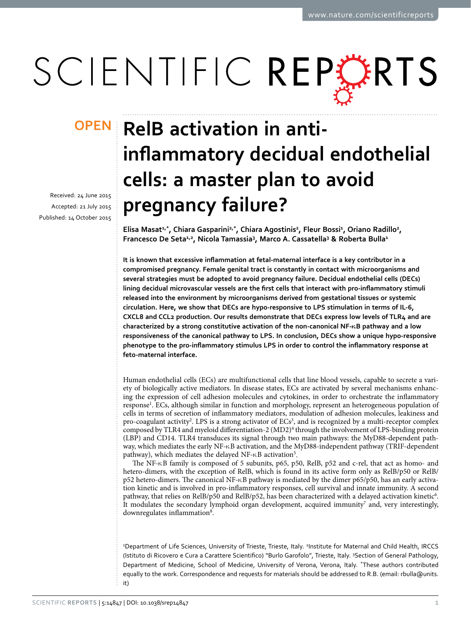# SCIENTIFIC REPERTS

received: 24 June 2015 accepted: 21 July 2015 Published: 14 October 2015

## **OPEN** RelB activation in anti**inflammatory decidual endothelial cells: a master plan to avoid pregnancy failure?**

**Elisa Masat1,\*, Chiara Gasparini2,\*, Chiara Agostinis<sup>2</sup> , Fleur Bossi<sup>1</sup> , Oriano Radillo<sup>2</sup> , Francesco De Seta1,2 , Nicola Tamassia<sup>3</sup> , Marco A. Cassatella<sup>3</sup> & Roberta Bulla<sup>1</sup>**

**It is known that excessive inflammation at fetal-maternal interface is a key contributor in a compromised pregnancy. Female genital tract is constantly in contact with microorganisms and several strategies must be adopted to avoid pregnancy failure. Decidual endothelial cells (DECs) lining decidual microvascular vessels are the first cells that interact with pro-inflammatory stimuli released into the environment by microorganisms derived from gestational tissues or systemic circulation. Here, we show that DECs are hypo-responsive to LPS stimulation in terms of IL-6, CXCL8 and CCL2 production. Our results demonstrate that DECs express low levels of TLR4 and are characterized by a strong constitutive activation of the non-canonical NF-κB pathway and a low responsiveness of the canonical pathway to LPS. In conclusion, DECs show a unique hypo-responsive phenotype to the pro-inflammatory stimulus LPS in order to control the inflammatory response at feto-maternal interface.**

Human endothelial cells (ECs) are multifunctional cells that line blood vessels, capable to secrete a variety of biologically active mediators. In disease states, ECs are activated by several mechanisms enhancing the expression of cell adhesion molecules and cytokines, in order to orchestrate the inflammatory response<sup>1</sup>. ECs, although similar in function and morphology, represent an heterogeneous population of cells in terms of secretion of inflammatory mediators, modulation of adhesion molecules, leakiness and pro-coagulant activity<sup>[2](#page-5-1)</sup>. LPS is a strong activator of  $ECs<sup>3</sup>$ , and is recognized by a multi-receptor complex composed by TLR[4](#page-5-3) and myeloid differentiation-2 (MD2)<sup>4</sup> through the involvement of LPS-binding protein (LBP) and CD14. TLR4 transduces its signal through two main pathways: the MyD88-dependent pathway, which mediates the early NF-κB activation, and the MyD88-independent pathway (TRIF-dependent pathway), which mediates the delayed NF-κB activation<sup>5</sup>.

The NF-κB family is composed of 5 subunits, p65, p50, RelB, p52 and c-rel, that act as homo- and hetero-dimers, with the exception of RelB, which is found in its active form only as RelB/p50 or RelB/ p52 hetero-dimers. The canonical NF-κB pathway is mediated by the dimer p65/p50, has an early activation kinetic and is involved in pro-inflammatory responses, cell survival and innate immunity. A second pathway, that relies on RelB/p50 and RelB/p52, has been characterized with a delayed activation kinetic<sup>[6](#page-5-5)</sup>. It modulates the secondary lymphoid organ development, acquired immunity<sup>[7](#page-5-6)</sup> and, very interestingly, downregulates inflammation<sup>[8](#page-5-7)</sup>.

<sup>1</sup>Department of Life Sciences, University of Trieste, Trieste, Italy. <sup>2</sup>Institute for Maternal and Child Health, IRCCS (Istituto di Ricovero e Cura a Carattere Scientifico) "Burlo Garofolo", Trieste, Italy. <sup>3</sup> Section of General Pathology, Department of Medicine, School of Medicine, University of Verona, Verona, Italy. \*These authors contributed equally to the work. Correspondence and requests for materials should be addressed to R.B. (email: [rbulla@units.](mailto:rbulla@units.it) [it\)](mailto:rbulla@units.it)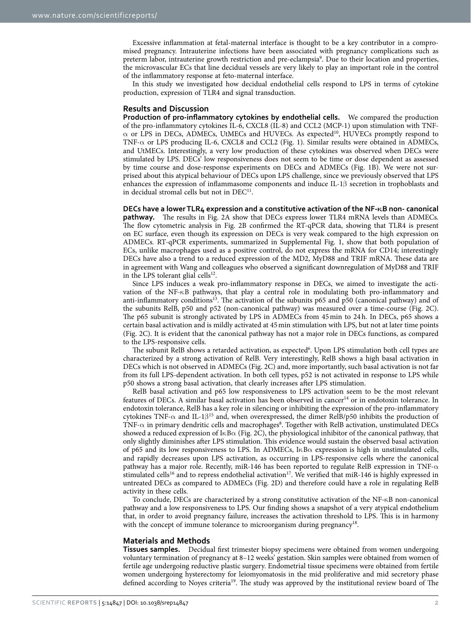Excessive inflammation at fetal-maternal interface is thought to be a key contributor in a compromised pregnancy. Intrauterine infections have been associated with pregnancy complications such as preterm labor, intrauterine growth restriction and pre-eclampsia<sup>9</sup>. Due to their location and properties, the microvascular ECs that line decidual vessels are very likely to play an important role in the control of the inflammatory response at feto-maternal interface.

In this study we investigated how decidual endothelial cells respond to LPS in terms of cytokine production, expression of TLR4 and signal transduction.

#### **Results and Discussion**

**Production of pro-inflammatory cytokines by endothelial cells.** We compared the production of the pro-inflammatory cytokines IL-6, CXCL8 (IL-8) and CCL2 (MCP-1) upon stimulation with TNF- $\alpha$  or LPS in DECs, ADMECs, UtMECs and HUVECs. As expected<sup>10</sup>, HUVECs promptly respond to TNF-α or LPS producing IL-6, CXCL8 and CCL2 ([Fig. 1\)](#page-2-0). Similar results were obtained in ADMECs, and UtMECs. Interestingly, a very low production of these cytokines was observed when DECs were stimulated by LPS. DECs' low responsiveness does not seem to be time or dose dependent as assessed by time course and dose-response experiments on DECs and ADMECs [\(Fig. 1B\)](#page-2-0). We were not surprised about this atypical behaviour of DECs upon LPS challenge, since we previously observed that LPS enhances the expression of inflammasome components and induce IL-1β secretion in trophoblasts and in decidual stromal cells but not in DEC<sup>11</sup>.

**DECs have a lower TLR4 expression and a constitutive activation of the NF-κB non- canonical pathway.** The results in [Fig. 2A](#page-3-0) show that DECs express lower TLR4 mRNA levels than ADMECs. The flow cytometric analysis in [Fig. 2B](#page-3-0) confirmed the RT-qPCR data, showing that TLR4 is present on EC surface, even though its expression on DECs is very weak compared to the high expression on ADMECs. RT-qPCR experiments, summarized in Supplemental [Fig. 1](#page-2-0), show that both population of ECs, unlike macrophages used as a positive control, do not express the mRNA for CD14; interestingly DECs have also a trend to a reduced expression of the MD2, MyD88 and TRIF mRNA. These data are in agreement with Wang and colleagues who observed a significant downregulation of MyD88 and TRIF in the LPS tolerant glial cells $^{12}$ .

Since LPS induces a weak pro-inflammatory response in DECs, we aimed to investigate the activation of the NF-κB pathways, that play a central role in modulating both pro-inflammatory and anti-inflammatory conditions<sup>13</sup>. The activation of the subunits p65 and p50 (canonical pathway) and of the subunits RelB, p50 and p52 (non-canonical pathway) was measured over a time-course ([Fig. 2C](#page-3-0)). The p65 subunit is strongly activated by LPS in ADMECs from 45min to 24h. In DECs, p65 shows a certain basal activation and is mildly activated at 45min stimulation with LPS, but not at later time points ([Fig. 2C\)](#page-3-0). It is evident that the canonical pathway has not a major role in DECs functions, as compared to the LPS-responsive cells.

The subunit RelB shows a retarded activation, as expected<sup>6</sup>. Upon LPS stimulation both cell types are characterized by a strong activation of RelB. Very interestingly, RelB shows a high basal activation in DECs which is not observed in ADMECs ([Fig. 2C](#page-3-0)) and, more importantly, such basal activation is not far from its full LPS-dependent activation. In both cell types, p52 is not activated in response to LPS while p50 shows a strong basal activation, that clearly increases after LPS stimulation.

RelB basal activation and p65 low responsiveness to LPS activation seem to be the most relevant features of DECs. A similar basal activation has been observed in cancer<sup>14</sup> or in endotoxin tolerance. In endotoxin tolerance, RelB has a key role in silencing or inhibiting the expression of the pro-inflammatory cytokines TNF- $\alpha$  and IL-1 $\beta$ <sup>[15](#page-5-14)</sup> and, when overexpressed, the dimer RelB/p50 inhibits the production of TNF- $\alpha$  in primary dendritic cells and macrophages<sup>8</sup>. Together with RelB activation, unstimulated DECs showed a reduced expression of I $\kappa$ B $\alpha$  [\(Fig. 2C\)](#page-3-0), the physiological inhibitor of the canonical pathway, that only slightly diminishes after LPS stimulation. This evidence would sustain the observed basal activation of p65 and its low responsiveness to LPS. In ADMECs,  $I \kappa B\alpha$  expression is high in unstimulated cells, and rapidly decreases upon LPS activation, as occurring in LPS-responsive cells where the canonical pathway has a major role. Recently, miR-146 has been reported to regulate RelB expression in TNF-α stimulated cells<sup>[16](#page-5-15)</sup> and to repress endothelial activation<sup>17</sup>. We verified that miR-146 is highly expressed in untreated DECs as compared to ADMECs ([Fig. 2D](#page-3-0)) and therefore could have a role in regulating RelB activity in these cells.

To conclude, DECs are characterized by a strong constitutive activation of the NF-κB non-canonical pathway and a low responsiveness to LPS. Our finding shows a snapshot of a very atypical endothelium that, in order to avoid pregnancy failure, increases the activation threshold to LPS. This is in harmony with the concept of immune tolerance to microorganism during pregnancy<sup>18</sup>.

#### **Materials and Methods**

**Tissues samples.** Decidual first trimester biopsy specimens were obtained from women undergoing voluntary termination of pregnancy at 8–12 weeks' gestation. Skin samples were obtained from women of fertile age undergoing reductive plastic surgery. Endometrial tissue specimens were obtained from fertile women undergoing hysterectomy for leiomyomatosis in the mid proliferative and mid secretory phase defined according to Noyes criteri[a19](#page-5-18). The study was approved by the institutional review board of The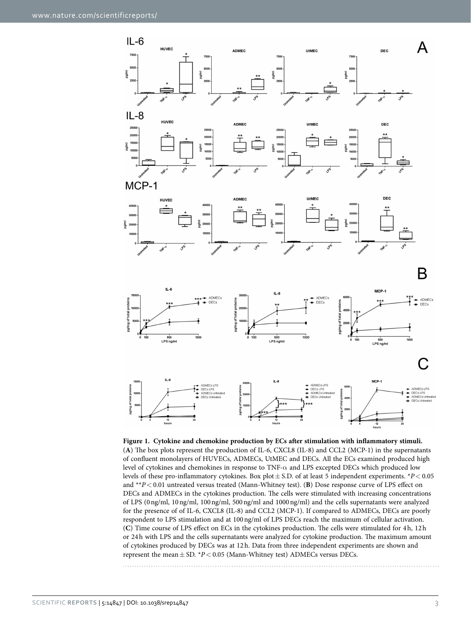

<span id="page-2-0"></span>**Figure 1. Cytokine and chemokine production by ECs after stimulation with inflammatory stimuli.**  (**A**) The box plots represent the production of IL-6, CXCL8 (IL-8) and CCL2 (MCP-1) in the supernatants of confluent monolayers of HUVECs, ADMECs, UtMEC and DECs. All the ECs examined produced high level of cytokines and chemokines in response to  $TNF-\alpha$  and LPS excepted DECs which produced low levels of these pro-inflammatory cytokines. Box plot± S.D. of at least 5 independent experiments. \**P*< 0.05 and \*\**P*< 0.01 untreated versus treated (Mann-Whitney test). (**B**) Dose response curve of LPS effect on DECs and ADMECs in the cytokines production. The cells were stimulated with increasing concentrations of LPS (0ng/ml, 10ng/ml, 100ng/ml, 500ng/ml and 1000ng/ml) and the cells supernatants were analyzed for the presence of of IL-6, CXCL8 (IL-8) and CCL2 (MCP-1). If compared to ADMECs, DECs are poorly respondent to LPS stimulation and at 100ng/ml of LPS DECs reach the maximum of cellular activation. (**C**) Time course of LPS effect on ECs in the cytokines production. The cells were stimulated for 4h, 12h or 24h with LPS and the cells supernatants were analyzed for cytokine production. The maximum amount of cytokines produced by DECs was at 12h. Data from three independent experiments are shown and represent the mean $\pm$  SD.  $*P$  < 0.05 (Mann-Whitney test) ADMECs versus DECs.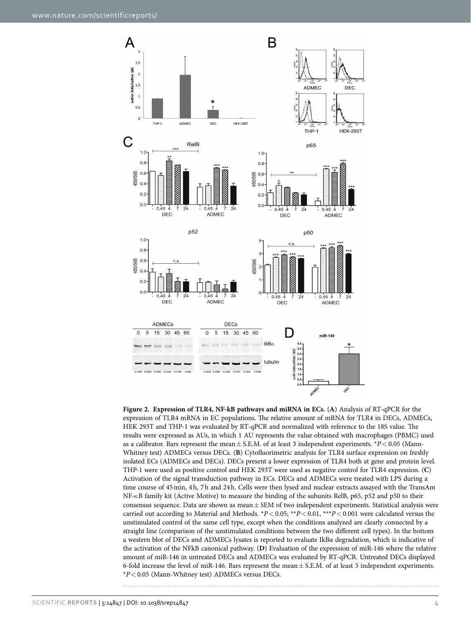

<span id="page-3-0"></span>**Figure 2. Expression of TLR4, NF-kB pathways and miRNA in ECs.** (**A**) Analysis of RT-qPCR for the expression of TLR4 mRNA in EC populations. The relative amount of mRNA for TLR4 in DECs, ADMECs, HEK 293T and THP-1 was evaluated by RT-qPCR and normalized with reference to the 18S value. The results were expressed as AUs, in which 1 AU represents the value obtained with macrophages (PBMC) used as a calibrator. Bars represent the mean  $\pm$  S.E.M. of at least 3 independent experiments. \**P* < 0.05 (Mann-Whitney test) ADMECs versus DECs. (**B**) Cytofluorimetric analysis for TLR4 surface expression on freshly isolated ECs (ADMECs and DECs). DECs present a lower expression of TLR4 both at gene and protein level. THP-1 were used as positive control and HEK 293T were used as negative control for TLR4 expression. (**C**) Activation of the signal transduction pathway in ECs. DECs and ADMECs were treated with LPS during a time course of 45min, 4h, 7h and 24h. Cells were then lysed and nuclear extracts assayed with the TransAm NF-κB family kit (Active Motive) to measure the binding of the subunits RelB, p65, p52 and p50 to their consensus sequence. Data are shown as mean  $\pm$  SEM of two independent experiments. Statistical analysis were carried out according to Material and Methods.  $*P < 0.05$ ;  $**P < 0.01$ ,  $**P < 0.001$  were calculated versus the unstimulated control of the same cell type, except when the conditions analyzed are clearly connected by a straight line (comparison of the unstimulated conditions between the two different cell types). In the bottom a western blot of DECs and ADMECs lysates is reported to evaluate IkBα degradation, which is indicative of the activation of the NFkB canonical pathway. (**D**) Evaluation of the expression of miR-146 where the relative amount of miR-146 in untreated DECs and ADMECs was evaluated by RT-qPCR. Untreated DECs displayed 6-fold increase the level of miR-146. Bars represent the mean± S.E.M. of at least 3 independent experiments. \**P*< 0.05 (Mann-Whitney test) ADMECs versus DECs.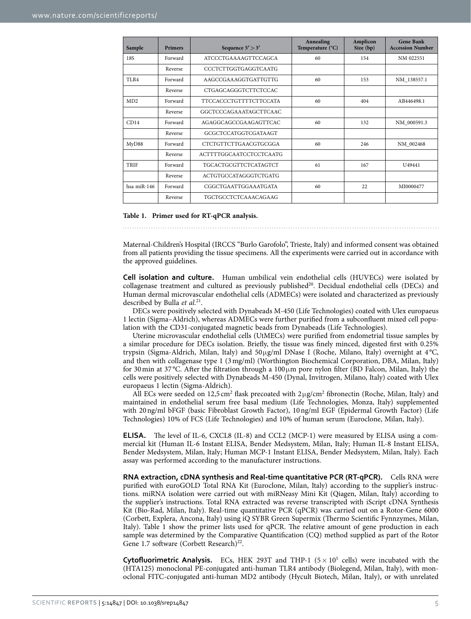<span id="page-4-0"></span>

| Sample         | <b>Primers</b> | Sequence $5' > 3'$            | Annealing<br>Temperature (°C) | Amplicon<br>Size (bp) | <b>Gene Bank</b><br><b>Accession Number</b> |
|----------------|----------------|-------------------------------|-------------------------------|-----------------------|---------------------------------------------|
| <b>18S</b>     | Forward        | <b>ATCCCTGAAAAGTTCCAGCA</b>   | 60                            | 154                   | NM 022551                                   |
|                | Reverse        | <b>CCCTCTTGGTGAGGTCAATG</b>   |                               |                       |                                             |
| TLR4           | Forward        | AAGCCGAAAGGTGATTGTTG          | 60                            | 153                   | NM 138557.1                                 |
|                | Reverse        | <b>CTGAGCAGGGTCTTCTCCAC</b>   |                               |                       |                                             |
| MD2            | Forward        | <b>TTCCACCCTGTTTTCTTCCATA</b> | 60                            | 404                   | AB446498.1                                  |
|                | Reverse        | GGCTCCCAGAAATAGCTTCAAC        |                               |                       |                                             |
| CD14           | Forward        | AGAGGCAGCCGAAGAGTTCAC         | 60                            | 132                   | NM 000591.3                                 |
|                | Reverse        | GCGCTCCATGGTCGATAAGT          |                               |                       |                                             |
| MyD88          | Forward        | <b>CTCTGTTCTTGAACGTGCGGA</b>  | 60                            | 246                   | NM_002468                                   |
|                | Reverse        | ACTTTTGGCAATCCTCCTCAATG       |                               |                       |                                             |
| TRIF           | Forward        | <b>TGCACTGCGTTCTCATAGTCT</b>  | 61                            | 167                   | U <sub>49441</sub>                          |
|                | Reverse        | <b>ACTGTGCCATAGGGTCTGATG</b>  |                               |                       |                                             |
| hsa mi $R-146$ | Forward        | CGGCTGAATTGGAAATGATA          | 60                            | 22                    | MI0000477                                   |
|                | Reverse        | TGCTGCCTCTCAAACAGAAG          |                               |                       |                                             |

**Table 1. Primer used for RT-qPCR analysis.**

Maternal-Children's Hospital (IRCCS "Burlo Garofolo", Trieste, Italy) and informed consent was obtained from all patients providing the tissue specimens. All the experiments were carried out in accordance with the approved guidelines.

**Cell isolation and culture.** Human umbilical vein endothelial cells (HUVECs) were isolated by collagenase treatment and cultured as previously published<sup>20</sup>. Decidual endothelial cells (DECs) and Human dermal microvascular endothelial cells (ADMECs) were isolated and characterized as previously described by Bulla *et al.*[21](#page-5-20).

DECs were positively selected with Dynabeads M-450 (Life Technologies) coated with Ulex europaeus 1 lectin (Sigma–Aldrich), whereas ADMECs were further purified from a subconfluent mixed cell population with the CD31-conjugated magnetic beads from Dynabeads (Life Technologies).

Uterine microvascular endothelial cells (UtMECs) were purified from endometrial tissue samples by a similar procedure for DECs isolation. Briefly, the tissue was finely minced, digested first with 0.25% trypsin (Sigma-Aldrich, Milan, Italy) and 50μg/ml DNase I (Roche, Milano, Italy) overnight at 4 °C, and then with collagenase type 1 (3mg/ml) (Worthington Biochemical Corporation, DBA, Milan, Italy) for 30 min at 37 °C. After the filtration through a 100 $\mu$ m pore nylon filter (BD Falcon, Milan, Italy) the cells were positively selected with Dynabeads M-450 (Dynal, Invitrogen, Milano, Italy) coated with Ulex europaeus 1 lectin (Sigma-Aldrich).

All ECs were seeded on 12,5 cm<sup>2</sup> flask precoated with  $2\mu g/cm^2$  fibronectin (Roche, Milan, Italy) and maintained in endothelial serum free basal medium (Life Technologies, Monza, Italy) supplemented with 20ng/ml bFGF (basic Fibroblast Growth Factor), 10ng/ml EGF (Epidermal Growth Factor) (Life Technologies) 10% of FCS (Life Technologies) and 10% of human serum (Euroclone, Milan, Italy).

**ELISA.** The level of IL-6, CXCL8 (IL-8) and CCL2 (MCP-1) were measured by ELISA using a commercial kit (Human IL-6 Instant ELISA, Bender Medsystem, Milan, Italy; Human IL-8 Instant ELISA, Bender Medsystem, Milan, Italy; Human MCP-1 Instant ELISA, Bender Medsystem, Milan, Italy). Each assay was performed according to the manufacturer instructions.

**RNA extraction, cDNA synthesis and Real-time quantitative PCR (RT-qPCR).** Cells RNA were purified with euroGOLD Total RNA Kit (Euroclone, Milan, Italy) according to the supplier's instructions. miRNA isolation were carried out with miRNeasy Mini Kit (Qiagen, Milan, Italy) according to the supplier's instructions. Total RNA extracted was reverse transcripted with iScript cDNA Synthesis Kit (Bio-Rad, Milan, Italy). Real-time quantitative PCR (qPCR) was carried out on a Rotor-Gene 6000 (Corbett, Explera, Ancona, Italy) using iQ SYBR Green Supermix (Thermo Scientific Fynnzymes, Milan, Italy). [Table 1](#page-4-0) show the primer lists used for qPCR. The relative amount of gene production in each sample was determined by the Comparative Quantification (CQ) method supplied as part of the Rotor Gene 1.7 software (Corbett Research) $^{22}$ .

**Cytofluorimetric Analysis.** ECs, HEK 293T and THP-1  $(5 \times 10^5 \text{ cells})$  were incubated with the (HTA125) monoclonal PE-conjugated anti-human TLR4 antibody (Biolegend, Milan, Italy), with monoclonal FITC-conjugated anti-human MD2 antibody (Hycult Biotech, Milan, Italy), or with unrelated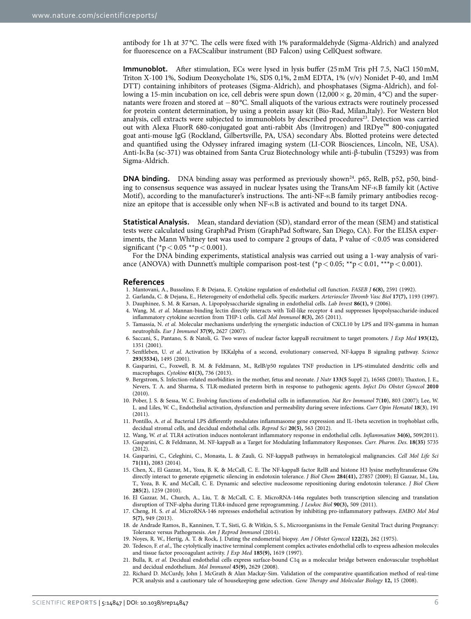antibody for 1h at 37 °C. The cells were fixed with 1% paraformaldehyde (Sigma-Aldrich) and analyzed for fluorescence on a FACScalibur instrument (BD Falcon) using CellQuest software.

**Immunoblot.** After stimulation, ECs were lysed in lysis buffer (25mM Tris pH 7.5, NaCl 150mM, Triton X-100 1%, Sodium Deoxycholate 1%, SDS 0,1%, 2mM EDTA, 1% (v/v) Nonidet P-40, and 1mM DTT) containing inhibitors of proteases (Sigma-Aldrich), and phosphatases (Sigma-Aldrich), and following a 15-min incubation on ice, cell debris were spun down  $(12,000 \times g, 20 \text{ min}, 4^{\circ}\text{C})$  and the supernatants were frozen and stored at −80 °C. Small aliquots of the various extracts were routinely processed for protein content determination, by using a protein assay kit (Bio-Rad, Milan,Italy). For Western blot analysis, cell extracts were subjected to immunoblots by described procedures<sup>23</sup>. Detection was carried out with Alexa FluorR 680-conjugated goat anti-rabbit Abs (Invitrogen) and IRDye™ 800-conjugated goat anti-mouse IgG (Rockland, Gilbertsville, PA, USA) secondary Abs. Blotted proteins were detected and quantified using the Odyssey infrared imaging system (LI-COR Biosciences, Lincoln, NE, USA). Anti-IκBa (sc-371) was obtained from Santa Cruz Biotechnology while anti-β-tubulin (T5293) was from Sigma-Aldrich.

**DNA binding.** DNA binding assay was performed as previously shown<sup>24</sup>, p65, RelB, p52, p50, binding to consensus sequence was assayed in nuclear lysates using the TransAm NF-κB family kit (Active Motif), according to the manufacturer's instructions. The anti-NF-κB family primary antibodies recognize an epitope that is accessible only when NF-κB is activated and bound to its target DNA.

**Statistical Analysis.** Mean, standard deviation (SD), standard error of the mean (SEM) and statistical tests were calculated using GraphPad Prism (GraphPad Software, San Diego, CA). For the ELISA experiments, the Mann Whitney test was used to compare 2 groups of data, P value of  $< 0.05$  was considered significant (\* $p < 0.05$  \*\* $p < 0.001$ ).

For the DNA binding experiments, statistical analysis was carried out using a 1-way analysis of variance (ANOVA) with Dunnett's multiple comparison post-test (\*p < 0.05; \*\*p < 0.01, \*\*\*p < 0.001).

#### **References**

- <span id="page-5-1"></span><span id="page-5-0"></span>1. Mantovani, A., Bussolino, F. & Dejana, E. Cytokine regulation of endothelial cell function. *FASEB J* **6(8),** 2591 (1992).
- 2. Garlanda, C. & Dejana, E., Heterogeneity of endothelial cells. Specific markers. *Arterioscler Thromb Vasc Biol* **17(7),** 1193 (1997). 3. Dauphinee, S. M. & Karsan, A. Lipopolysaccharide signaling in endothelial cells. *Lab Invest* **86(1),** 9 (2006).
- <span id="page-5-3"></span><span id="page-5-2"></span>4. Wang, M. *et al.* Mannan-binding lectin directly interacts with Toll-like receptor 4 and suppresses lipopolysaccharide-induced inflammatory cytokine secretion from THP-1 cells. *Cell Mol Immunol* **8(3),** 265 (2011).
- <span id="page-5-4"></span>5. Tamassia, N. *et al.* Molecular mechanisms underlying the synergistic induction of CXCL10 by LPS and IFN-gamma in human neutrophils. *Eur J Immunol* **37(9),** 2627 (2007).
- <span id="page-5-5"></span>6. Saccani, S., Pantano, S. & Natoli, G. Two waves of nuclear factor kappaB recruitment to target promoters. *J Exp Med* **193(12),** 1351 (2001).
- <span id="page-5-6"></span>7. Senftleben, U. *et al.* Activation by IKKalpha of a second, evolutionary conserved, NF-kappa B signaling pathway. *Science* **293(5534),** 1495 (2001).
- <span id="page-5-7"></span>8. Gasparini, C., Foxwell, B. M. & Feldmann, M., RelB/p50 regulates TNF production in LPS-stimulated dendritic cells and macrophages. *Cytokine* **61(3),** 736 (2013).
- <span id="page-5-8"></span>9. Bergstrom, S. Infection-related morbidities in the mother, fetus and neonate. *J Nutr* **133(5** Suppl 2), 1656S (2003); Thaxton, J. E., Nevers, T. A. and Sharma, S. TLR-mediated preterm birth in response to pathogenic agents. *Infect Dis Obstet Gynecol* **2010** (2010).
- <span id="page-5-9"></span>10. Pober, J. S. & Sessa, W. C. Evolving functions of endothelial cells in inflammation. *Nat Rev Immunol* **7**(**10**), 803 (2007); Lee, W. L. and Liles, W. C., Endothelial activation, dysfunction and permeability during severe infections. *Curr Opin Hematol* **18**(**3**), 191 (2011).
- <span id="page-5-10"></span>11. Pontillo, A. *et al.* Bacterial LPS differently modulates inflammasome gene expression and IL-1beta secretion in trophoblast cells, decidual stromal cells, and decidual endothelial cells. *Reprod Sci* **20(5),** 563 (2012).
- <span id="page-5-12"></span><span id="page-5-11"></span>12. Wang, W. *et al.* TLR4 activation induces nontolerant inflammatory response in endothelial cells. *Inflammation* **34(6),** 509(2011).
- 13. Gasparini, C. & Feldmann, M. NF-kappaB as a Target for Modulating Inflammatory Responses. *Curr. Pharm. Des*. **18(35)** 5735 (2012).
- <span id="page-5-13"></span>14. Gasparini, C., Celeghini, C., Monasta, L. & Zauli, G. NF-kappaB pathways in hematological malignancies. *Cell Mol Life Sci* **71(11),** 2083 (2014).
- <span id="page-5-14"></span>15. Chen, X., El Gazzar, M., Yoza, B. K. & McCall, C. E. The NF-kappaB factor RelB and histone H3 lysine methyltransferase G9a directly interact to generate epigenetic silencing in endotoxin tolerance. *J Biol Chem* **284(41),** 27857 (2009); El Gazzar, M., Liu, T., Yoza, B. K. and McCall, C. E. Dynamic and selective nucleosome repositioning during endotoxin tolerance. *J Biol Chem* **285**(**2**), 1259 (2010).
- <span id="page-5-15"></span>16. El Gazzar, M., Church, A., Liu, T. & McCall, C. E. MicroRNA-146a regulates both transcription silencing and translation disruption of TNF-alpha during TLR4-induced gene reprogramming. *J Leukoc Biol* **90(3),** 509 (2011).
- <span id="page-5-16"></span>17. Cheng, H. S. *et al.* MicroRNA-146 represses endothelial activation by inhibiting pro-inflammatory pathways. *EMBO Mol Med* **5(7),** 949 (2013).
- <span id="page-5-17"></span>18. de Andrade Ramos, B., Kanninen, T. T., Sisti, G. & Witkin, S. S., Microorganisms in the Female Genital Tract during Pregnancy: Tolerance versus Pathogenesis. *Am J Reprod Immunol* (2014).
- <span id="page-5-19"></span><span id="page-5-18"></span>19. Noyes, R. W., Hertig, A. T. & Rock, J. Dating the endometrial biopsy. *Am J Obstet Gynecol* **122(2),** 262 (1975).
- 20. Tedesco, F. *et al.*, The cytolytically inactive terminal complement complex activates endothelial cells to express adhesion molecules and tissue factor procoagulant activity. *J Exp Med* **185(9),** 1619 (1997).
- <span id="page-5-20"></span>21. Bulla, R. *et al.* Decidual endothelial cells express surface-bound C1q as a molecular bridge between endovascular trophoblast and decidual endothelium. *Mol Immunol* **45(9),** 2629 (2008).
- <span id="page-5-21"></span>22. Richard D. McCurdy, John J. McGrath & Alan Mackay-Sim. Validation of the comparative quantification method of real-time PCR analysis and a cautionary tale of housekeeping gene selection. *Gene Therapy and Molecular Biology* **12,** 15 (2008).